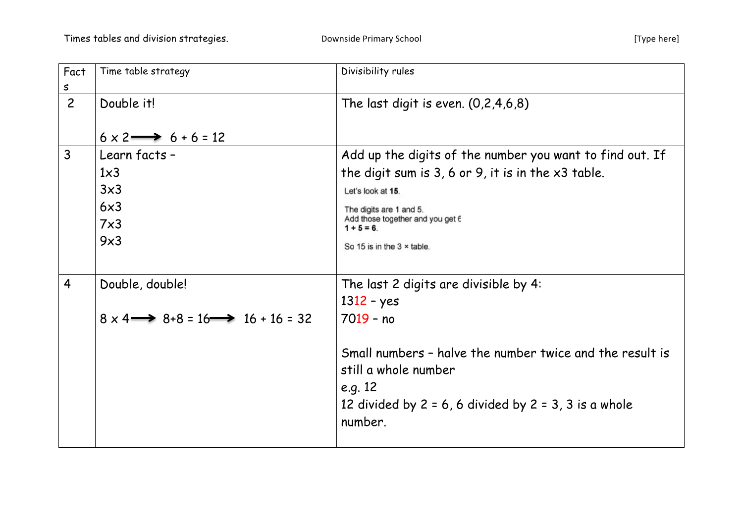| Fact<br>S      | Time table strategy                                                                     | Divisibility rules                                                                                                                                                                                                                                     |
|----------------|-----------------------------------------------------------------------------------------|--------------------------------------------------------------------------------------------------------------------------------------------------------------------------------------------------------------------------------------------------------|
| $\overline{2}$ | Double it!<br>$6 \times 2 \longrightarrow 6 + 6 = 12$                                   | The last digit is even. $(0,2,4,6,8)$                                                                                                                                                                                                                  |
| $\mathsf{3}$   | Learn facts -<br>$1\times3$<br>3x3<br>6x3<br>$7\times3$<br>9x3                          | Add up the digits of the number you want to find out. If<br>the digit sum is $3, 6$ or $9$ , it is in the $x3$ table.<br>Let's look at 15.<br>The digits are 1 and 5.<br>Add those together and you get 6<br>$1 + 5 = 6$<br>So 15 is in the 3 x table. |
| $\overline{4}$ | Double, double!<br>$8 \times 4 \longrightarrow 8 + 8 = 16 \longrightarrow 16 + 16 = 32$ | The last 2 digits are divisible by 4:<br>$1312 - yes$<br>7019 - no<br>Small numbers - halve the number twice and the result is<br>still a whole number<br>e.g. 12<br>12 divided by $2 = 6$ , 6 divided by $2 = 3$ , 3 is a whole<br>number.            |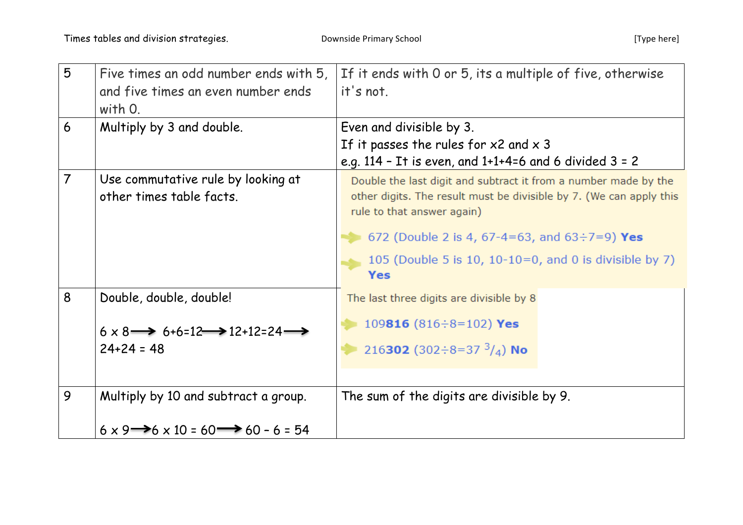| 5              | Five times an odd number ends with 5,<br>and five times an even number ends<br>with O.                                | If it ends with 0 or 5, its a multiple of five, otherwise<br>it's not.                                                                                                                                                                                                                          |
|----------------|-----------------------------------------------------------------------------------------------------------------------|-------------------------------------------------------------------------------------------------------------------------------------------------------------------------------------------------------------------------------------------------------------------------------------------------|
| 6              | Multiply by 3 and double.                                                                                             | Even and divisible by 3.<br>If it passes the rules for $x2$ and $x3$<br>e.g. 114 - It is even, and $1+1+4=6$ and 6 divided $3 = 2$                                                                                                                                                              |
| $\overline{7}$ | Use commutative rule by looking at<br>other times table facts.                                                        | Double the last digit and subtract it from a number made by the<br>other digits. The result must be divisible by 7. (We can apply this<br>rule to that answer again)<br>672 (Double 2 is 4, 67-4=63, and 63÷7=9) Yes<br>105 (Double 5 is 10, $10-10=0$ , and 0 is divisible by 7)<br><b>Yes</b> |
| 8              | Double, double, double!<br>$6 \times 8 \rightarrow 6 + 6 = 12 \rightarrow 12 + 12 = 24 \rightarrow$<br>$24 + 24 = 48$ | The last three digits are divisible by 8<br>109816 $(816 \div 8 = 102)$ Yes<br>216302 (302÷8=37 $3/4$ ) No                                                                                                                                                                                      |
| 9              | Multiply by 10 and subtract a group.<br>$6 \times 9 \rightarrow 6 \times 10 = 60 \rightarrow 60 - 6 = 54$             | The sum of the digits are divisible by 9.                                                                                                                                                                                                                                                       |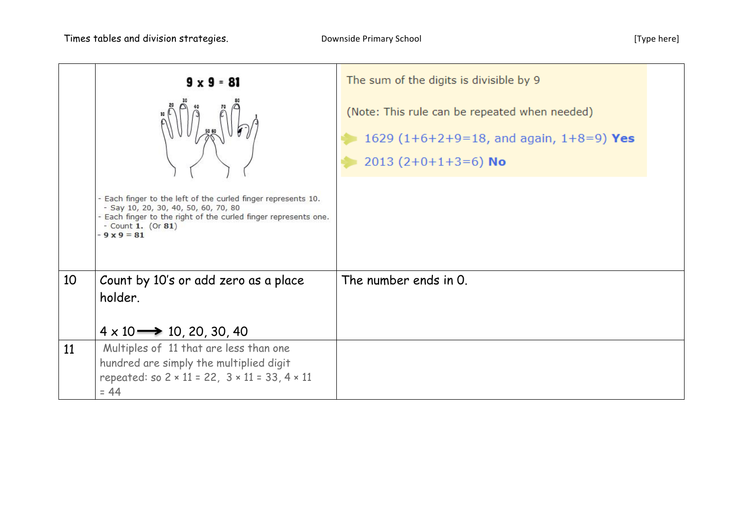|    | $9 \times 9 = 81$                                                                                                                                                                                           | The sum of the digits is divisible by 9                                                                                  |  |
|----|-------------------------------------------------------------------------------------------------------------------------------------------------------------------------------------------------------------|--------------------------------------------------------------------------------------------------------------------------|--|
|    | - Each finger to the left of the curled finger represents 10.<br>- Say 10, 20, 30, 40, 50, 60, 70, 80<br>- Each finger to the right of the curled finger represents one.<br>- Count 1. (Or 81)<br>$-9x9=81$ | (Note: This rule can be repeated when needed)<br>1629 $(1+6+2+9=18)$ , and again, $1+8=9$ ) Yes<br>2013 $(2+0+1+3=6)$ No |  |
| 10 | Count by 10's or add zero as a place<br>holder.<br>$4 \times 10 \rightarrow 10, 20, 30, 40$                                                                                                                 | The number ends in 0.                                                                                                    |  |
| 11 | Multiples of 11 that are less than one<br>hundred are simply the multiplied digit<br>repeated: so $2 \times 11 = 22$ , $3 \times 11 = 33$ , $4 \times 11$<br>$= 44$                                         |                                                                                                                          |  |